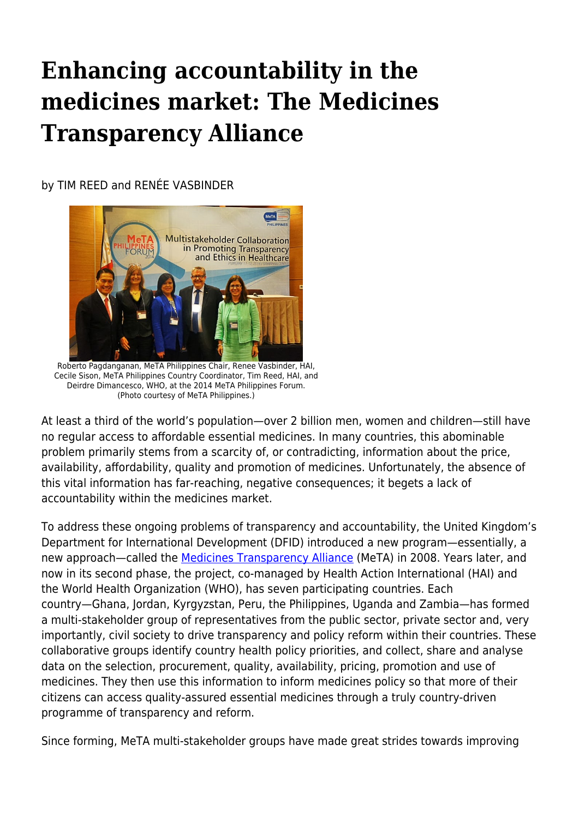## **Enhancing accountability in the medicines market: The Medicines Transparency Alliance**

by TIM REED and RENÉE VASBINDER



Roberto Pagdanganan, MeTA Philippines Chair, Renee Vasbinder, HAI, Cecile Sison, MeTA Philippines Country Coordinator, Tim Reed, HAI, and Deirdre Dimancesco, WHO, at the 2014 MeTA Philippines Forum. (Photo courtesy of MeTA Philippines.)

At least a third of the world's population—over 2 billion men, women and children—still have no regular access to affordable essential medicines. In many countries, this abominable problem primarily stems from a scarcity of, or contradicting, information about the price, availability, affordability, quality and promotion of medicines. Unfortunately, the absence of this vital information has far-reaching, negative consequences; it begets a lack of accountability within the medicines market.

To address these ongoing problems of transparency and accountability, the United Kingdom's Department for International Development (DFID) introduced a new program—essentially, a new approach—called the [Medicines Transparency Alliance](http://www.medicinestransparency.org/) (MeTA) in 2008. Years later, and now in its second phase, the project, co-managed by Health Action International (HAI) and the World Health Organization (WHO), has seven participating countries. Each country—Ghana, Jordan, Kyrgyzstan, Peru, the Philippines, Uganda and Zambia—has formed a multi-stakeholder group of representatives from the public sector, private sector and, very importantly, civil society to drive transparency and policy reform within their countries. These collaborative groups identify country health policy priorities, and collect, share and analyse data on the selection, procurement, quality, availability, pricing, promotion and use of medicines. They then use this information to inform medicines policy so that more of their citizens can access quality-assured essential medicines through a truly country-driven programme of transparency and reform.

Since forming, MeTA multi-stakeholder groups have made great strides towards improving